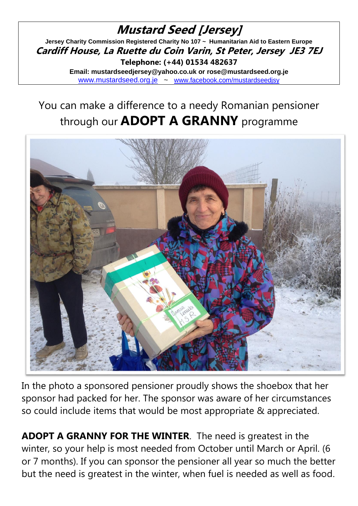#### **Mustard Seed [Jersey] Jersey Charity Commission Registered Charity No 107 ~ Humanitarian Aid to Eastern Europe Cardiff House, La Ruette du Coin Varin, St Peter, Jersey JE3 7EJ Telephone: (+44) 01534 482637 Email: mustardseedjersey@yahoo.co.uk or rose@mustardseed.org.je**  [www.mustardseed.org.je](http://www.mustardseed.org.je/) ~ [www.facebook.com/mustardseedjsy](http://www.facebook.com/mustardseedjsy)

# You can make a difference to a needy Romanian pensioner through our **ADOPT A GRANNY** programme



In the photo a sponsored pensioner proudly shows the shoebox that her sponsor had packed for her. The sponsor was aware of her circumstances so could include items that would be most appropriate & appreciated.

**ADOPT A GRANNY FOR THE WINTER**. The need is greatest in the winter, so your help is most needed from October until March or April. (6 or 7 months). If you can sponsor the pensioner all year so much the better but the need is greatest in the winter, when fuel is needed as well as food.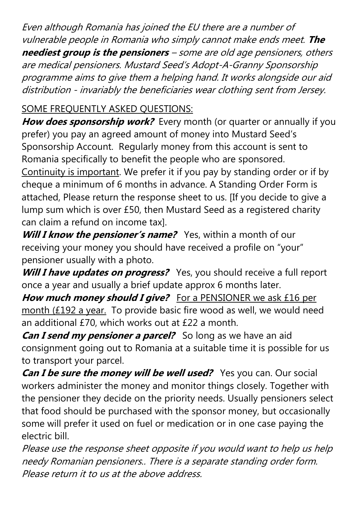Even although Romania has joined the EU there are a number of vulnerable people in Romania who simply cannot make ends meet. **The neediest group is the pensioners** – some are old age pensioners, others are medical pensioners. Mustard Seed's Adopt-A-Granny Sponsorship programme aims to give them a helping hand. It works alongside our aid distribution - invariably the beneficiaries wear clothing sent from Jersey.

## SOME FREQUENTLY ASKED QUESTIONS:

**How does sponsorship work?** Every month (or quarter or annually if you prefer) you pay an agreed amount of money into Mustard Seed's Sponsorship Account. Regularly money from this account is sent to Romania specifically to benefit the people who are sponsored. Continuity is important. We prefer it if you pay by standing order or if by cheque a minimum of 6 months in advance. A Standing Order Form is attached, Please return the response sheet to us. [If you decide to give a lump sum which is over £50, then Mustard Seed as a registered charity can claim a refund on income tax].

*Will I know the pensioner's name?* Yes, within a month of our receiving your money you should have received a profile on "your" pensioner usually with a photo.

**Will I have updates on progress?** Yes, you should receive a full report once a year and usually a brief update approx 6 months later.

**How much money should I give?** For a PENSIONER we ask £16 per month (£192 a year. To provide basic fire wood as well, we would need an additional £70, which works out at £22 a month.

*Can I send my pensioner a parcel?* So long as we have an aid consignment going out to Romania at a suitable time it is possible for us to transport your parcel.

*Can I be sure the money will be well used?* Yes you can. Our social workers administer the money and monitor things closely. Together with the pensioner they decide on the priority needs. Usually pensioners select that food should be purchased with the sponsor money, but occasionally some will prefer it used on fuel or medication or in one case paying the electric bill.

Please use the response sheet opposite if you would want to help us help needy Romanian pensioners.. There is a separate standing order form. Please return it to us at the above address.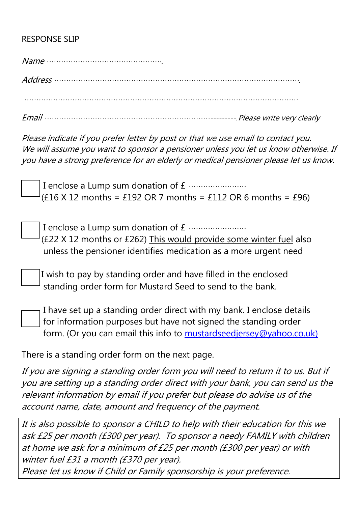### RESPONSE SLIP

| $Name \dots 1$ |
|----------------|
|                |
|                |
|                |

Email ……………………………………………………………---------.Please write very clearly

Please indicate if you prefer letter by post or that we use email to contact you. We will assume you want to sponsor a pensioner unless you let us know otherwise. If you have a strong preference for an elderly or medical pensioner please let us know.

I enclose a Lump sum donation of £ ……………………  $(£16 X 12 months = £192 OR 7 months = £112 OR 6 months = £96)$ 

I enclose a Lump sum donation of £ …………………… (£22 X 12 months or £262) This would provide some winter fuel also unless the pensioner identifies medication as a more urgent need

 I wish to pay by standing order and have filled in the enclosed standing order form for Mustard Seed to send to the bank.

I have set up a standing order direct with my bank. I enclose details for information purposes but have not signed the standing order form. (Or you can email this info to [mustardseedjersey@yahoo.co.uk\)](mailto:mustardseedjersey@yahoo.co.uk)

There is a standing order form on the next page.

If you are signing a standing order form you will need to return it to us. But if you are setting up a standing order direct with your bank, you can send us the relevant information by email if you prefer but please do advise us of the account name, date, amount and frequency of the payment.

It is also possible to sponsor a CHILD to help with their education for this we ask £25 per month (£300 per year). To sponsor a needy FAMILY with children at home we ask for a minimum of £25 per month (£300 per year) or with winter fuel £31 a month (£370 per year).

Please let us know if Child or Family sponsorship is your preference.